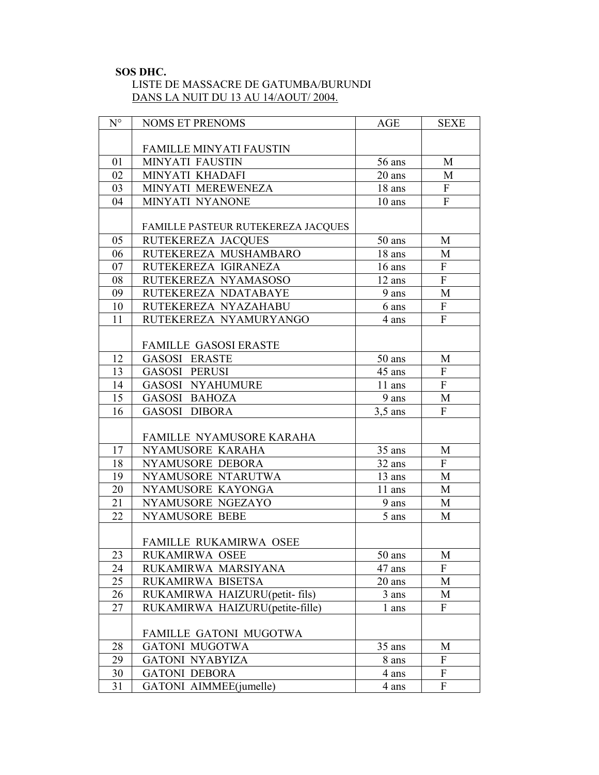#### **SOS DHC.**

# LISTE DE MASSACRE DE GATUMBA/BURUNDI DANS LA NUIT DU 13 AU 14/AOUT/ 2004.

| $N^{\circ}$ | <b>NOMS ET PRENOMS</b>             | <b>AGE</b> | <b>SEXE</b>    |
|-------------|------------------------------------|------------|----------------|
|             |                                    |            |                |
|             | <b>FAMILLE MINYATI FAUSTIN</b>     |            |                |
| 01          | MINYATI FAUSTIN                    | 56 ans     | M              |
| 02          | MINYATI KHADAFI                    | 20 ans     | M              |
| 03          | MINYATI MEREWENEZA                 | 18 ans     | ${\bf F}$      |
| 04          | MINYATI NYANONE                    | $10$ ans   | $\overline{F}$ |
|             |                                    |            |                |
|             | FAMILLE PASTEUR RUTEKEREZA JACQUES |            |                |
| 05          | RUTEKEREZA JACQUES                 | 50 ans     | M              |
| 06          | RUTEKEREZA MUSHAMBARO              | 18 ans     | M              |
| 07          | RUTEKEREZA IGIRANEZA               | 16 ans     | $\mathbf{F}$   |
| 08          | RUTEKEREZA NYAMASOSO               | 12 ans     | $\overline{F}$ |
| 09          | RUTEKEREZA NDATABAYE               | 9 ans      | M              |
| 10          | RUTEKEREZA NYAZAHABU               | 6 ans      | $\overline{F}$ |
| 11          | RUTEKEREZA NYAMURYANGO             | 4 ans      | $\mathbf{F}$   |
|             |                                    |            |                |
|             | <b>FAMILLE GASOSI ERASTE</b>       |            |                |
| 12          | <b>GASOSI ERASTE</b>               | 50 ans     | M              |
| 13          | <b>GASOSI PERUSI</b>               | 45 ans     | $\overline{F}$ |
| 14          | <b>GASOSI NYAHUMURE</b>            | 11 ans     | $\overline{F}$ |
| 15          | <b>GASOSI BAHOZA</b>               | 9 ans      | M              |
| 16          | <b>GASOSI DIBORA</b>               | $3,5$ ans  | $\overline{F}$ |
|             |                                    |            |                |
|             | FAMILLE NYAMUSORE KARAHA           |            |                |
| 17          | NYAMUSORE KARAHA                   | 35 ans     | M              |
| 18          | NYAMUSORE DEBORA                   | 32 ans     | $\overline{F}$ |
| 19          | NYAMUSORE NTARUTWA                 | 13 ans     | M              |
| 20          | NYAMUSORE KAYONGA                  | 11 ans     | M              |
| 21          | NYAMUSORE NGEZAYO                  | 9 ans      | M              |
| 22          | <b>NYAMUSORE BEBE</b>              | 5 ans      | M              |
|             |                                    |            |                |
|             | FAMILLE RUKAMIRWA OSEE             |            |                |
| 23          | RUKAMIRWA OSEE                     | $50$ ans   | $\mathbf M$    |
| 24          | RUKAMIRWA MARSIYANA                | 47 ans     | F              |
| 25          | RUKAMIRWA BISETSA                  | 20 ans     | M              |
| 26          | RUKAMIRWA HAIZURU(petit- fils)     | 3 ans      | M              |
| 27          | RUKAMIRWA HAIZURU(petite-fille)    | l ans      | $\mathbf{F}$   |
|             |                                    |            |                |
|             | FAMILLE GATONI MUGOTWA             |            |                |
| 28          | <b>GATONI MUGOTWA</b>              | 35 ans     | M              |
| 29          | <b>GATONI NYABYIZA</b>             | 8 ans      | $\mathbf{F}$   |
| 30          | <b>GATONI DEBORA</b>               | 4 ans      | F              |
| 31          | GATONI AIMMEE(jumelle)             | 4 ans      | $\mathbf{F}$   |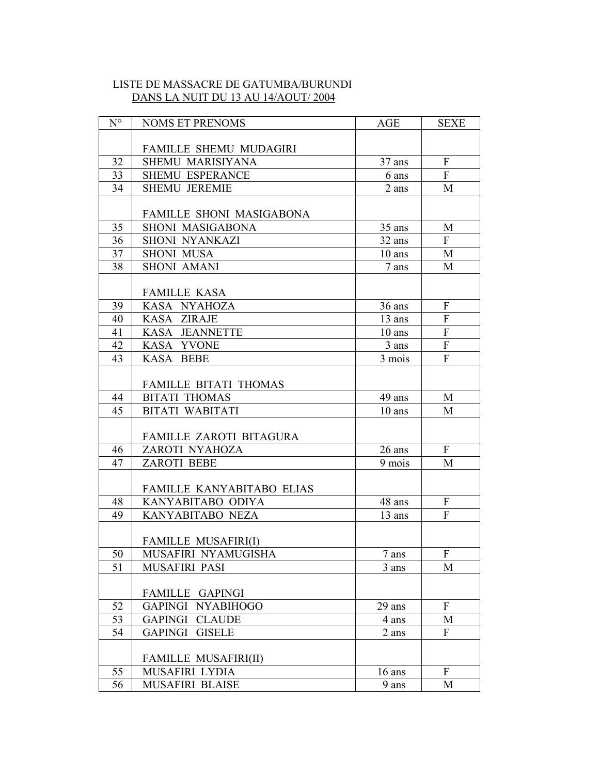# LISTE DE MASSACRE DE GATUMBA/BURUNDI DANS LA NUIT DU 13 AU 14/AOUT/ 2004

| $N^{\circ}$ | <b>NOMS ET PRENOMS</b>      | <b>AGE</b>        | <b>SEXE</b>               |
|-------------|-----------------------------|-------------------|---------------------------|
|             |                             |                   |                           |
|             | FAMILLE SHEMU MUDAGIRI      |                   |                           |
| 32          | SHEMU MARISIYANA            | 37 ans            | $\overline{F}$            |
| 33          | <b>SHEMU ESPERANCE</b>      | 6 ans             | F                         |
| 34          | <b>SHEMU JEREMIE</b>        | 2 ans             | M                         |
|             |                             |                   |                           |
|             | FAMILLE SHONI MASIGABONA    |                   |                           |
| 35          | SHONI MASIGABONA            | 35 ans            | M                         |
| 36          | SHONI NYANKAZI              | 32 ans            | $\mathbf{F}$              |
| 37          | <b>SHONI MUSA</b>           | $10$ ans          | M                         |
| 38          | <b>SHONI AMANI</b>          | 7 ans             | M                         |
|             |                             |                   |                           |
|             | <b>FAMILLE KASA</b>         |                   |                           |
| 39          | KASA NYAHOZA                | 36 ans            | ${\bf F}$                 |
| 40          | KASA ZIRAJE                 | 13 ans            | F                         |
| 41          | KASA JEANNETTE              | $10$ ans          | $\overline{F}$            |
| 42          | KASA YVONE                  | 3 ans             | $\overline{F}$            |
| 43          | KASA BEBE                   | 3 mois            | $\overline{F}$            |
|             |                             |                   |                           |
|             | FAMILLE BITATI THOMAS       |                   |                           |
| 44          | <b>BITATI THOMAS</b>        | 49 ans            | M                         |
| 45          | <b>BITATI WABITATI</b>      | $10$ ans          | M                         |
|             |                             |                   |                           |
|             | FAMILLE ZAROTI BITAGURA     |                   |                           |
| 46          | ZAROTI NYAHOZA              | 26 ans            | ${\bf F}$                 |
| 47          | <b>ZAROTI BEBE</b>          | 9 mois            | M                         |
|             |                             |                   |                           |
|             | FAMILLE KANYABITABO ELIAS   |                   |                           |
| 48          | KANYABITABO ODIYA           | 48 ans            | F                         |
| 49          | KANYABITABO NEZA            | 13 ans            | F                         |
|             |                             |                   |                           |
|             | <b>FAMILLE MUSAFIRI(I)</b>  |                   |                           |
| 50          | MUSAFIRI NYAMUGISHA         | $7\,\mathrm{ans}$ | $\boldsymbol{\mathrm{F}}$ |
| 51          | MUSAFIRI PASI               | 3 ans             | M                         |
|             |                             |                   |                           |
|             | FAMILLE<br><b>GAPINGI</b>   |                   |                           |
| 52          | <b>NYABIHOGO</b><br>GAPINGI | 29 ans            | F                         |
| 53          | <b>GAPINGI CLAUDE</b>       | 4 ans             | М                         |
| 54          | <b>GISELE</b><br>GAPINGI    | 2 ans             | F                         |
|             |                             |                   |                           |
|             | <b>FAMILLE MUSAFIRI(II)</b> |                   |                           |
| 55          | MUSAFIRI LYDIA              | $16$ ans          | F                         |
| 56          | MUSAFIRI BLAISE             | 9 ans             | M                         |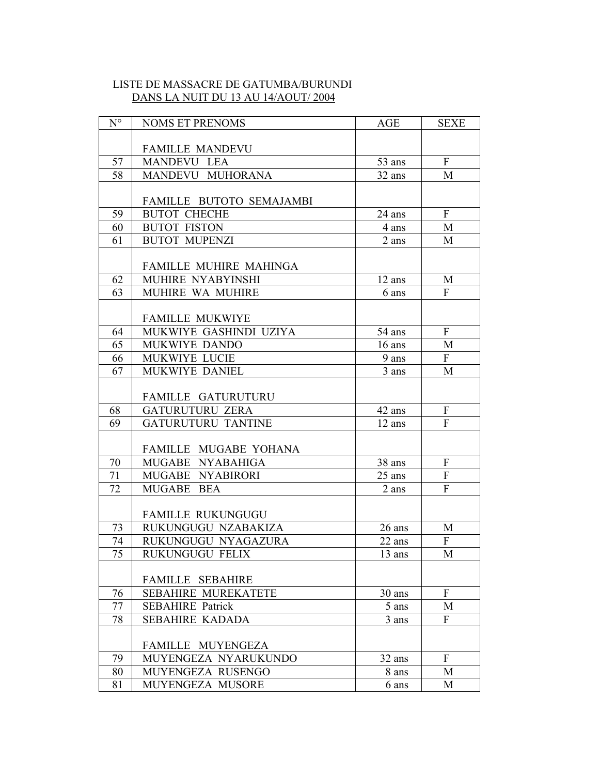# LISTE DE MASSACRE DE GATUMBA/BURUNDI DANS LA NUIT DU 13 AU 14/AOUT/ 2004

| $N^{\circ}$     | <b>NOMS ET PRENOMS</b>     | AGE                 | <b>SEXE</b>               |
|-----------------|----------------------------|---------------------|---------------------------|
|                 |                            |                     |                           |
|                 | <b>FAMILLE MANDEVU</b>     |                     |                           |
| 57              | MANDEVU LEA                | 53 ans              | $\mathbf{F}$              |
| 58              | MANDEVU MUHORANA           | 32 ans              | M                         |
|                 |                            |                     |                           |
|                 | FAMILLE BUTOTO SEMAJAMBI   |                     |                           |
| 59              | <b>BUTOT CHECHE</b>        | 24 ans              | $\mathbf{F}$              |
| 60              | <b>BUTOT FISTON</b>        | 4 ans               | M                         |
| 61              | <b>BUTOT MUPENZI</b>       | 2 ans               | M                         |
|                 |                            |                     |                           |
|                 | FAMILLE MUHIRE MAHINGA     |                     |                           |
| 62              | MUHIRE NYABYINSHI          | 12 ans              | M                         |
| 63              | MUHIRE WA MUHIRE           | 6 ans               | F                         |
|                 |                            |                     |                           |
|                 | <b>FAMILLE MUKWIYE</b>     |                     |                           |
| 64              | MUKWIYE GASHINDI UZIYA     | 54 ans              | $\mathbf{F}$              |
| 65              | MUKWIYE DANDO              | $16$ ans            | M                         |
| 66              | MUKWIYE LUCIE              | 9 ans               | F                         |
| 67              | MUKWIYE DANIEL             | 3 ans               | M                         |
|                 |                            |                     |                           |
|                 | FAMILLE GATURUTURU         |                     |                           |
| 68              | <b>GATURUTURU ZERA</b>     | 42 ans              | ${\bf F}$                 |
| 69              | <b>GATURUTURU TANTINE</b>  | 12 ans              | $\overline{F}$            |
|                 |                            |                     |                           |
|                 | FAMILLE MUGABE YOHANA      |                     |                           |
| 70              | MUGABE NYABAHIGA           | 38 ans              | $\boldsymbol{\mathrm{F}}$ |
| 71              | MUGABE NYABIRORI           | 25 ans              | $\boldsymbol{\mathrm{F}}$ |
| 72              | MUGABE<br><b>BEA</b>       | 2 ans               | $\overline{F}$            |
|                 |                            |                     |                           |
|                 | <b>FAMILLE RUKUNGUGU</b>   |                     |                           |
| 73              | RUKUNGUGU NZABAKIZA        | 26 ans              | M                         |
| 74              | RUKUNGUGU NYAGAZURA        | 22 ans              | ${\bf F}$                 |
| $\overline{75}$ | RUKUNGUGU FELIX            | $\overline{1}3$ ans | $\mathbf M$               |
|                 |                            |                     |                           |
|                 | <b>FAMILLE SEBAHIRE</b>    |                     |                           |
| 76              | <b>SEBAHIRE MUREKATETE</b> | 30 ans              | $\mathbf{F}$              |
| 77              | <b>SEBAHIRE Patrick</b>    | 5 ans               | M                         |
| 78              | <b>SEBAHIRE KADADA</b>     | 3 ans               | $\mathbf{F}$              |
|                 |                            |                     |                           |
|                 | FAMILLE MUYENGEZA          |                     |                           |
| 79              | MUYENGEZA NYARUKUNDO       | 32 ans              | $\mathbf{F}$              |
| 80              | MUYENGEZA RUSENGO          | 8 ans               | M                         |
| 81              | MUYENGEZA MUSORE           | 6 ans               | M                         |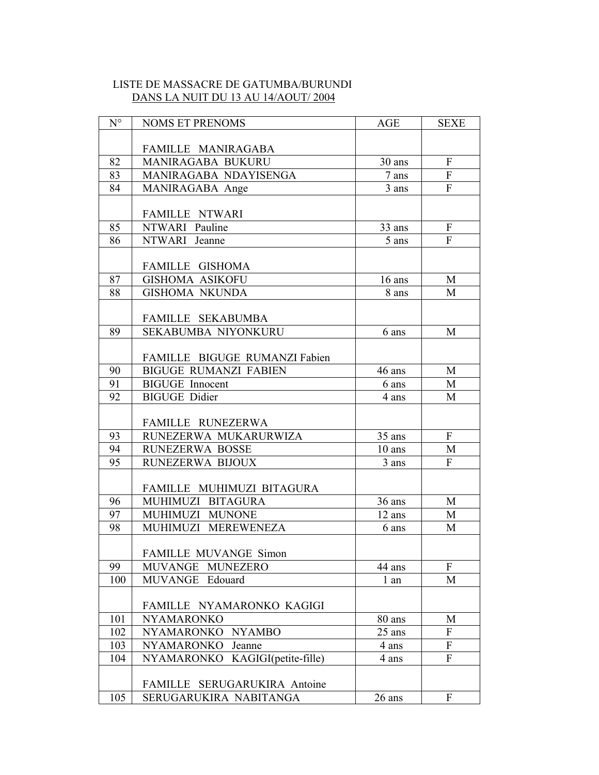# LISTE DE MASSACRE DE GATUMBA/BURUNDI DANS LA NUIT DU 13 AU 14/AOUT/ 2004

| $N^{\circ}$ | <b>NOMS ET PRENOMS</b>                         | AGE      | <b>SEXE</b>               |
|-------------|------------------------------------------------|----------|---------------------------|
|             |                                                |          |                           |
|             | FAMILLE MANIRAGABA                             |          |                           |
| 82          | MANIRAGABA BUKURU                              | 30 ans   | $\mathbf{F}$              |
| 83          | MANIRAGABA NDAYISENGA                          | 7 ans    | ${\bf F}$                 |
| 84          | MANIRAGABA Ange                                | 3 ans    | $\boldsymbol{\mathrm{F}}$ |
|             |                                                |          |                           |
|             | <b>FAMILLE NTWARI</b>                          |          |                           |
| 85          | NTWARI Pauline                                 | 33 ans   | ${\bf F}$                 |
| 86          | NTWARI Jeanne                                  | 5 ans    | ${\bf F}$                 |
|             |                                                |          |                           |
|             | FAMILLE GISHOMA                                |          |                           |
| 87          | <b>GISHOMA ASIKOFU</b>                         | 16 ans   | M                         |
| 88          | <b>GISHOMA NKUNDA</b>                          | 8 ans    | M                         |
|             |                                                |          |                           |
|             | FAMILLE SEKABUMBA                              |          |                           |
| 89          | SEKABUMBA NIYONKURU                            | 6 ans    | M                         |
|             |                                                |          |                           |
|             | FAMILLE BIGUGE RUMANZI Fabien                  |          |                           |
| 90<br>91    | <b>BIGUGE RUMANZI FABIEN</b>                   | 46 ans   | M                         |
| 92          | <b>BIGUGE</b> Innocent<br><b>BIGUGE Didier</b> | 6 ans    | M<br>M                    |
|             |                                                | 4 ans    |                           |
|             | FAMILLE RUNEZERWA                              |          |                           |
| 93          | RUNEZERWA MUKARURWIZA                          | 35 ans   | $\mathbf{F}$              |
| 94          | RUNEZERWA BOSSE                                | $10$ ans | M                         |
| 95          | RUNEZERWA BIJOUX                               | 3 ans    | $\overline{F}$            |
|             |                                                |          |                           |
|             | FAMILLE MUHIMUZI BITAGURA                      |          |                           |
| 96          | MUHIMUZI BITAGURA                              | 36 ans   | M                         |
| 97          | MUHIMUZI MUNONE                                | 12 ans   | M                         |
| 98          | MUHIMUZI MEREWENEZA                            | 6 ans    | M                         |
|             |                                                |          |                           |
|             | FAMILLE MUVANGE Simon                          |          |                           |
| 99          | MUVANGE MUNEZERO                               | 44 ans   | F                         |
| 100         | MUVANGE Edouard                                | 1 an     | M                         |
|             |                                                |          |                           |
|             | FAMILLE NYAMARONKO KAGIGI                      |          |                           |
| 101         | <b>NYAMARONKO</b>                              | 80 ans   | M                         |
| 102         | NYAMARONKO NYAMBO                              | 25 ans   | $\mathbf{F}$              |
| 103         | NYAMARONKO<br>Jeanne                           | 4 ans    | ${\bf F}$                 |
| 104         | NYAMARONKO KAGIGI(petite-fille)                | 4 ans    | ${\bf F}$                 |
|             |                                                |          |                           |
|             | FAMILLE SERUGARUKIRA Antoine                   |          |                           |
| 105         | SERUGARUKIRA NABITANGA                         | 26 ans   | $\boldsymbol{\mathrm{F}}$ |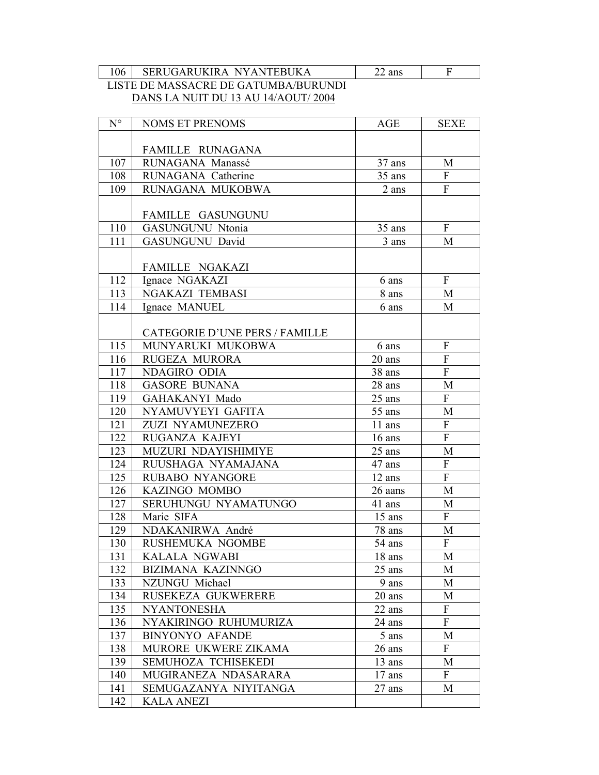106 | SERUGARUKIRA NYANTEBUKA

| S | ٠ |
|---|---|

# LISTE DE MASSACRE DE GATUMBA/BURUNDI DANS LA NUIT DU 13 AU 14/AOUT/2004

| $N^{\circ}$ | <b>NOMS ET PRENOMS</b>                | <b>AGE</b> | <b>SEXE</b>               |
|-------------|---------------------------------------|------------|---------------------------|
|             |                                       |            |                           |
|             | FAMILLE RUNAGANA                      |            |                           |
| 107         | RUNAGANA Manassé                      | 37 ans     | M                         |
| 108         | RUNAGANA Catherine                    | 35 ans     | F                         |
| 109         | RUNAGANA MUKOBWA                      | 2 ans      | $\overline{F}$            |
|             |                                       |            |                           |
|             | FAMILLE GASUNGUNU                     |            |                           |
| 110         | <b>GASUNGUNU Ntonia</b>               | 35 ans     | $\mathbf{F}$              |
| 111         | GASUNGUNU David                       | 3 ans      | M                         |
|             |                                       |            |                           |
|             | FAMILLE NGAKAZI                       |            |                           |
| 112         | Ignace NGAKAZI                        | 6 ans      | $\mathbf{F}$              |
| 113         | NGAKAZI TEMBASI                       | 8 ans      | M                         |
| 114         | Ignace MANUEL                         | 6 ans      | M                         |
|             |                                       |            |                           |
|             | <b>CATEGORIE D'UNE PERS / FAMILLE</b> |            |                           |
| 115         | MUNYARUKI MUKOBWA                     | 6 ans      | $\mathbf{F}$              |
| 116         | RUGEZA MURORA                         | 20 ans     | $\overline{F}$            |
| 117         | NDAGIRO ODIA                          | 38 ans     | $\mathbf{F}$              |
| 118         | <b>GASORE BUNANA</b>                  | 28 ans     | M                         |
| 119         | GAHAKANYI Mado                        | 25 ans     | $\overline{F}$            |
| 120         | NYAMUVYEYI GAFITA                     | 55 ans     | M                         |
| 121         | ZUZI NYAMUNEZERO                      | 11 ans     | F                         |
| 122         | RUGANZA KAJEYI                        | $16$ ans   | $\mathbf{F}$              |
| 123         | MUZURI NDAYISHIMIYE                   | 25 ans     | M                         |
| 124         | RUUSHAGA NYAMAJANA                    | 47 ans     | ${\bf F}$                 |
| 125         | RUBABO NYANGORE                       | 12 ans     | F                         |
| 126         | KAZINGO MOMBO                         | 26 aans    | M                         |
| 127         | SERUHUNGU NYAMATUNGO                  | 41 ans     | $\mathbf{M}$              |
| 128         | Marie SIFA                            | 15 ans     | $\mathbf{F}$              |
| 129         | NDAKANIRWA André                      | 78 ans     | M                         |
| 130         | RUSHEMUKA NGOMBE                      | 54 ans     | $\boldsymbol{\mathrm{F}}$ |
| 131         | KALALA NGWABI                         | 18 ans     | M                         |
| 132         | BIZIMANA KAZINNGO                     | 25 ans     | M                         |
| 133         | NZUNGU Michael                        | 9 ans      | М                         |
| 134         | RUSEKEZA GUKWERERE                    | 20 ans     | M                         |
| 135         | <b>NYANTONESHA</b>                    | 22 ans     | ${\bf F}$                 |
| 136         | NYAKIRINGO RUHUMURIZA                 | 24 ans     | $\overline{F}$            |
| 137         | <b>BINYONYO AFANDE</b>                | 5 ans      | M                         |
| 138         | MURORE UKWERE ZIKAMA                  | 26 ans     | F                         |
| 139         | SEMUHOZA TCHISEKEDI                   | 13 ans     | М                         |
| 140         | MUGIRANEZA NDASARARA                  | $17$ ans   | $\mathbf{F}$              |
| 141         | SEMUGAZANYA NIYITANGA                 | 27 ans     | M                         |
| 142         | <b>KALA ANEZI</b>                     |            |                           |